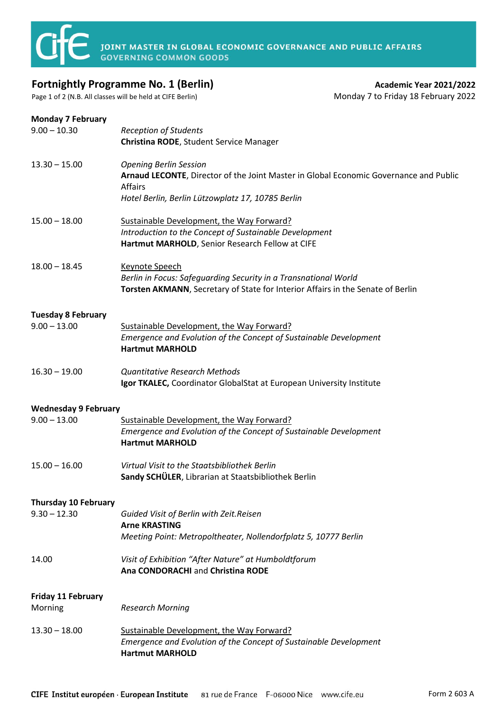

**JOINT MASTER IN GLOBAL ECONOMIC GOVERNANCE AND PUBLIC AFFAIRS**<br>GOVERNING COMMON GOODS

## **Fortnightly Programme No. 1 (Berlin) Academic Year 2021/2022 Academic Year 2021/2022**

Page 1 of 2 (N.B. All classes will be held at CIFE Berlin) Monday 7 to Friday 18 February 2022

## **Monday 7 February**

| $9.00 - 10.30$                              | <b>Reception of Students</b><br>Christina RODE, Student Service Manager                                                                                                                       |  |
|---------------------------------------------|-----------------------------------------------------------------------------------------------------------------------------------------------------------------------------------------------|--|
| $13.30 - 15.00$                             | <b>Opening Berlin Session</b><br>Arnaud LECONTE, Director of the Joint Master in Global Economic Governance and Public<br><b>Affairs</b><br>Hotel Berlin, Berlin Lützowplatz 17, 10785 Berlin |  |
| $15.00 - 18.00$                             | Sustainable Development, the Way Forward?<br>Introduction to the Concept of Sustainable Development<br>Hartmut MARHOLD, Senior Research Fellow at CIFE                                        |  |
| $18.00 - 18.45$                             | Keynote Speech<br>Berlin in Focus: Safeguarding Security in a Transnational World<br>Torsten AKMANN, Secretary of State for Interior Affairs in the Senate of Berlin                          |  |
| <b>Tuesday 8 February</b><br>$9.00 - 13.00$ | Sustainable Development, the Way Forward?<br>Emergence and Evolution of the Concept of Sustainable Development<br><b>Hartmut MARHOLD</b>                                                      |  |
| $16.30 - 19.00$                             | <b>Quantitative Research Methods</b><br>Igor TKALEC, Coordinator GlobalStat at European University Institute                                                                                  |  |
| <b>Wednesday 9 February</b>                 |                                                                                                                                                                                               |  |
| $9.00 - 13.00$                              | Sustainable Development, the Way Forward?<br>Emergence and Evolution of the Concept of Sustainable Development<br><b>Hartmut MARHOLD</b>                                                      |  |
| $15.00 - 16.00$                             | Virtual Visit to the Staatsbibliothek Berlin<br>Sandy SCHÜLER, Librarian at Staatsbibliothek Berlin                                                                                           |  |
| <b>Thursday 10 February</b>                 |                                                                                                                                                                                               |  |
| $9.30 - 12.30$                              | Guided Visit of Berlin with Zeit.Reisen<br><b>Arne KRASTING</b>                                                                                                                               |  |
|                                             | Meeting Point: Metropoltheater, Nollendorfplatz 5, 10777 Berlin                                                                                                                               |  |
| 14.00                                       | Visit of Exhibition "After Nature" at Humboldtforum<br>Ana CONDORACHI and Christina RODE                                                                                                      |  |
| <b>Friday 11 February</b>                   |                                                                                                                                                                                               |  |
| Morning                                     | <b>Research Morning</b>                                                                                                                                                                       |  |
| $13.30 - 18.00$                             | Sustainable Development, the Way Forward?<br>Emergence and Evolution of the Concept of Sustainable Development<br><b>Hartmut MARHOLD</b>                                                      |  |